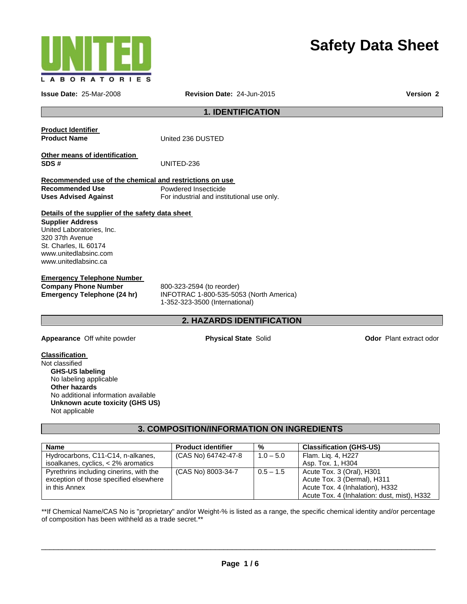

# **Safety Data Sheet**

**Issue Date:** 25-Mar-2008 **Revision Date:** 24-Jun-2015 **Version 2**

### **1. IDENTIFICATION**

**Product Identifier** 

**Product Name United 236 DUSTED** 

**Other means of identification SDS #** UNITED-236

**Recommended use of the chemical and restrictions on use Recommended Use**  Powdered Insecticide **Uses Advised Against** For industrial and institutional use only.

#### **Details of the supplier of the safety data sheet**

**Supplier Address**  United Laboratories, Inc. 320 37th Avenue St. Charles, IL 60174 www.unitedlabsinc.com www.unitedlabsinc.ca

### **Emergency Telephone Number**

**Company Phone Number** 800-323-2594 (to reorder)

**Emergency Telephone (24 hr)** INFOTRAC 1-800-535-5053 (North America) 1-352-323-3500 (International)

### **2. HAZARDS IDENTIFICATION**

**Appearance** Off white powder **Physical State Solid <b>Physical State Physical State Solid Odor Plant extract odor** 

# **Classification**

Not classified  **GHS-US labeling**  No labeling applicable  **Other hazards**  No additional information available  **Unknown acute toxicity (GHS US)** Not applicable

**3. COMPOSITION/INFORMATION ON INGREDIENTS** 

| <b>Name</b>                             | <b>Product identifier</b> | %           | <b>Classification (GHS-US)</b>              |
|-----------------------------------------|---------------------------|-------------|---------------------------------------------|
| Hydrocarbons, C11-C14, n-alkanes,       | (CAS No) 64742-47-8       | $1.0 - 5.0$ | Flam. Lig. 4, H227                          |
| isoalkanes, cyclics, < 2% aromatics     |                           |             | Asp. Tox. 1, H304                           |
| Pyrethrins including cinerins, with the | (CAS No) 8003-34-7        | $0.5 - 1.5$ | Acute Tox. 3 (Oral), H301                   |
| exception of those specified elsewhere  |                           |             | Acute Tox. 3 (Dermal), H311                 |
| in this Annex                           |                           |             | Acute Tox. 4 (Inhalation), H332             |
|                                         |                           |             | Acute Tox. 4 (Inhalation: dust, mist), H332 |

\*\*If Chemical Name/CAS No is "proprietary" and/or Weight-% is listed as a range, the specific chemical identity and/or percentage of composition has been withheld as a trade secret.\*\*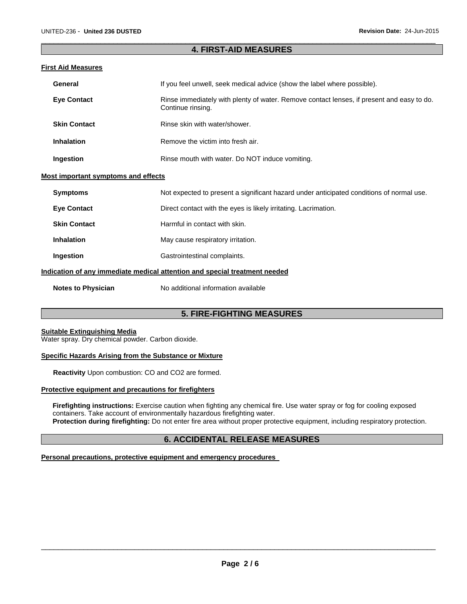### $\Box$ **4. FIRST-AID MEASURES**

### **First Aid Measures**

| General             | If you feel unwell, seek medical advice (show the label where possible).                                       |
|---------------------|----------------------------------------------------------------------------------------------------------------|
| <b>Eye Contact</b>  | Rinse immediately with plenty of water. Remove contact lenses, if present and easy to do.<br>Continue rinsing. |
| <b>Skin Contact</b> | Rinse skin with water/shower.                                                                                  |
| <b>Inhalation</b>   | Remove the victim into fresh air.                                                                              |
| Ingestion           | Rinse mouth with water. Do NOT induce vomiting.                                                                |

### **Most important symptoms and effects**

| <b>Symptoms</b>                                                            | Not expected to present a significant hazard under anticipated conditions of normal use. |
|----------------------------------------------------------------------------|------------------------------------------------------------------------------------------|
| <b>Eve Contact</b>                                                         | Direct contact with the eyes is likely irritating. Lacrimation.                          |
| <b>Skin Contact</b>                                                        | Harmful in contact with skin.                                                            |
| Inhalation                                                                 | May cause respiratory irritation.                                                        |
| Ingestion                                                                  | Gastrointestinal complaints.                                                             |
| Indication of any immediate medical attention and special treatment needed |                                                                                          |

**Notes to Physician No additional information available** 

### **5. FIRE-FIGHTING MEASURES**

#### **Suitable Extinguishing Media**

Water spray. Dry chemical powder. Carbon dioxide.

#### **Specific Hazards Arising from the Substance or Mixture**

**Reactivity** Upon combustion: CO and CO2 are formed.

### **Protective equipment and precautions for firefighters**

 **Firefighting instructions:** Exercise caution when fighting any chemical fire. Use water spray or fog for cooling exposed containers. Take account of environmentally hazardous firefighting water. **Protection during firefighting:** Do not enter fire area without proper protective equipment, including respiratory protection.

### **6. ACCIDENTAL RELEASE MEASURES**

### **Personal precautions, protective equipment and emergency procedures**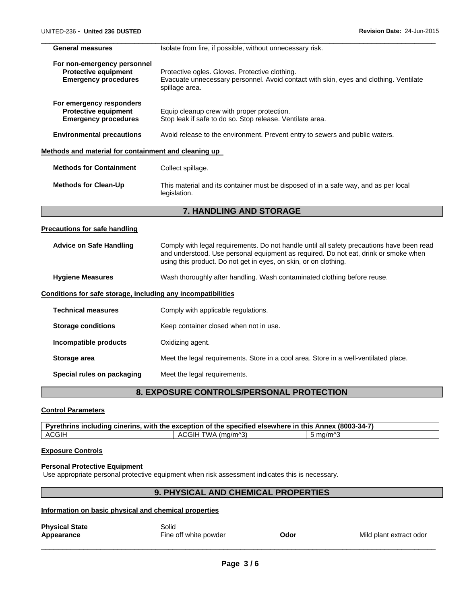| <b>General measures</b>                                                                   | Isolate from fire, if possible, without unnecessary risk.                                                                                                                                                                                            |
|-------------------------------------------------------------------------------------------|------------------------------------------------------------------------------------------------------------------------------------------------------------------------------------------------------------------------------------------------------|
| For non-emergency personnel<br><b>Protective equipment</b><br><b>Emergency procedures</b> | Protective ogles. Gloves. Protective clothing.<br>Evacuate unnecessary personnel. Avoid contact with skin, eyes and clothing. Ventilate<br>spillage area.                                                                                            |
| For emergency responders<br><b>Protective equipment</b><br><b>Emergency procedures</b>    | Equip cleanup crew with proper protection.<br>Stop leak if safe to do so. Stop release. Ventilate area.                                                                                                                                              |
| <b>Environmental precautions</b>                                                          | Avoid release to the environment. Prevent entry to sewers and public waters.                                                                                                                                                                         |
| Methods and material for containment and cleaning up                                      |                                                                                                                                                                                                                                                      |
| <b>Methods for Containment</b>                                                            | Collect spillage.                                                                                                                                                                                                                                    |
| <b>Methods for Clean-Up</b>                                                               | This material and its container must be disposed of in a safe way, and as per local<br>legislation.                                                                                                                                                  |
|                                                                                           | 7. HANDLING AND STORAGE                                                                                                                                                                                                                              |
| <b>Precautions for safe handling</b>                                                      |                                                                                                                                                                                                                                                      |
| <b>Advice on Safe Handling</b>                                                            | Comply with legal requirements. Do not handle until all safety precautions have been read<br>and understood. Use personal equipment as required. Do not eat, drink or smoke when<br>using this product. Do not get in eyes, on skin, or on clothing. |
| <b>Hygiene Measures</b>                                                                   | Wash thoroughly after handling. Wash contaminated clothing before reuse.                                                                                                                                                                             |
| Conditions for safe storage, including any incompatibilities                              |                                                                                                                                                                                                                                                      |
| <b>Technical measures</b>                                                                 |                                                                                                                                                                                                                                                      |
|                                                                                           | Comply with applicable regulations.                                                                                                                                                                                                                  |
| <b>Storage conditions</b>                                                                 | Keep container closed when not in use.                                                                                                                                                                                                               |
| Incompatible products                                                                     | Oxidizing agent.                                                                                                                                                                                                                                     |
| Storage area                                                                              | Meet the legal requirements. Store in a cool area. Store in a well-ventilated place.                                                                                                                                                                 |

**Special rules on packaging**  Meet the legal requirements.

# **8. EXPOSURE CONTROLS/PERSONAL PROTECTION**

### **Control Parameters**

|       | Pyrethrins including cinerins, with the exception of the specified elsewhere in this Annex (8003-34-7) |            |
|-------|--------------------------------------------------------------------------------------------------------|------------|
| ACGIH | TWA (ma/m^3)<br>`GIF.<br>Δ(                                                                            | ്. mɑ/m^′` |

# **Exposure Controls**

# **Personal Protective Equipment**

Use appropriate personal protective equipment when risk assessment indicates this is necessary.

# **9. PHYSICAL AND CHEMICAL PROPERTIES**

# **Information on basic physical and chemical properties**

| <b>Physical State</b><br>Appearance | Solid<br>Fine off white powder | Odor | Mild plant extract odor |
|-------------------------------------|--------------------------------|------|-------------------------|
|                                     |                                |      |                         |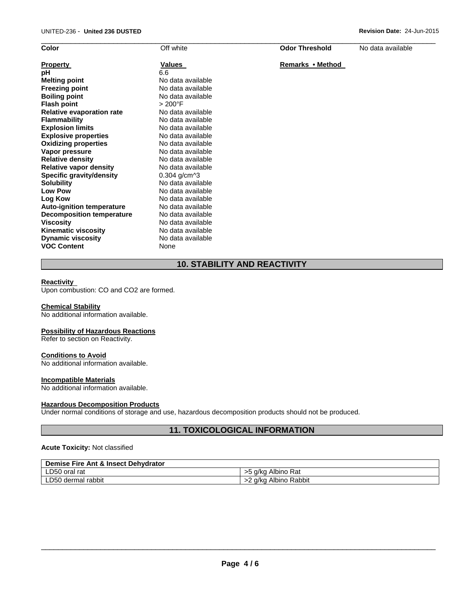| Color                            | Off white            | <b>Odor Threshold</b> | No data available |
|----------------------------------|----------------------|-----------------------|-------------------|
| <b>Property</b>                  | Values               | Remarks • Method      |                   |
| рH                               | 6.6                  |                       |                   |
| <b>Melting point</b>             | No data available    |                       |                   |
| <b>Freezing point</b>            | No data available    |                       |                   |
| <b>Boiling point</b>             | No data available    |                       |                   |
| <b>Flash point</b>               | $>200^{\circ}$ F     |                       |                   |
| <b>Relative evaporation rate</b> | No data available    |                       |                   |
| <b>Flammability</b>              | No data available    |                       |                   |
| <b>Explosion limits</b>          | No data available    |                       |                   |
| <b>Explosive properties</b>      | No data available    |                       |                   |
| <b>Oxidizing properties</b>      | No data available    |                       |                   |
| Vapor pressure                   | No data available    |                       |                   |
| <b>Relative density</b>          | No data available    |                       |                   |
| <b>Relative vapor density</b>    | No data available    |                       |                   |
| <b>Specific gravity/density</b>  | $0.304$ g/cm $^{13}$ |                       |                   |
| <b>Solubility</b>                | No data available    |                       |                   |
| <b>Low Pow</b>                   | No data available    |                       |                   |
| Log Kow                          | No data available    |                       |                   |
| <b>Auto-ignition temperature</b> | No data available    |                       |                   |
| <b>Decomposition temperature</b> | No data available    |                       |                   |
| <b>Viscosity</b>                 | No data available    |                       |                   |
| <b>Kinematic viscosity</b>       | No data available    |                       |                   |
| <b>Dynamic viscosity</b>         | No data available    |                       |                   |
| <b>VOC Content</b>               | None                 |                       |                   |

# **10. STABILITY AND REACTIVITY**

### **Reactivity**

Upon combustion: CO and CO2 are formed.

### **Chemical Stability**

No additional information available.

### **Possibility of Hazardous Reactions**

Refer to section on Reactivity.

#### **Conditions to Avoid**

No additional information available.

### **Incompatible Materials**

No additional information available.

#### **Hazardous Decomposition Products**

Under normal conditions of storage and use, hazardous decomposition products should not be produced.

### **11. TOXICOLOGICAL INFORMATION**

#### **Acute Toxicity:** Not classified

| Demise Fire Ant & Insect Dehvdrator |                             |
|-------------------------------------|-----------------------------|
| LD50 oral rat                       | Albino Rat<br>a/ka          |
| LD50 dermal rabbit                  | Albino Rabbit<br>a/ka<br>24 |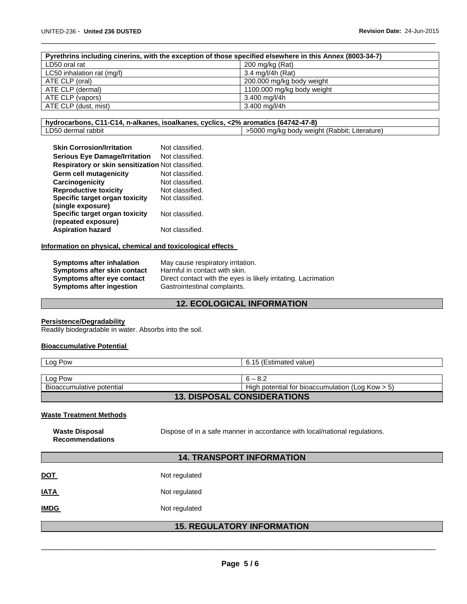| Pyrethrins including cinerins, with the exception of those specified elsewhere in this Annex (8003-34-7) |                            |
|----------------------------------------------------------------------------------------------------------|----------------------------|
| LD50 oral rat                                                                                            | 200 mg/kg (Rat)            |
| LC50 inhalation rat (mg/l)                                                                               | 3.4 mg/l/4h (Rat)          |
| ATE CLP (oral)                                                                                           | 200.000 mg/kg body weight  |
| ATE CLP (dermal)                                                                                         | 1100.000 mg/kg body weight |
| ATE CLP (vapors)                                                                                         | 3.400 mg/l/4h              |
| ATE CLP (dust, mist)                                                                                     | 3.400 mg/l/4h              |
|                                                                                                          |                            |

 $\Box$ 

| hydrocarbons, C11-C14, n-alkanes, isoalkanes, cyclics, <2% aromatics (64742-47-8) |                                             |
|-----------------------------------------------------------------------------------|---------------------------------------------|
| LD50 dermal rabbit                                                                | 5000 mg/kg body weight (Rabbit; Literature) |

| <b>Skin Corrosion/Irritation</b>                  | Not classified. |
|---------------------------------------------------|-----------------|
| <b>Serious Eye Damage/Irritation</b>              | Not classified. |
| Respiratory or skin sensitization Not classified. |                 |
| Germ cell mutagenicity                            | Not classified. |
| Carcinogenicity                                   | Not classified. |
| <b>Reproductive toxicity</b>                      | Not classified. |
| Specific target organ toxicity                    | Not classified. |
| (single exposure)                                 |                 |
| Specific target organ toxicity                    | Not classified. |
| (repeated exposure)                               |                 |
| <b>Aspiration hazard</b>                          | Not classified. |

#### **Information on physical, chemical and toxicological effects**

| Symptoms after inhalation   | May cause respiratory irritation.                              |
|-----------------------------|----------------------------------------------------------------|
| Symptoms after skin contact | Harmful in contact with skin.                                  |
| Symptoms after eye contact  | Direct contact with the eyes is likely irritating. Lacrimation |
| Symptoms after ingestion    | Gastrointestinal complaints.                                   |

# **12. ECOLOGICAL INFORMATION**

#### **Persistence/Degradability**

Readily biodegradable in water. Absorbs into the soil.

#### **Bioaccumulative Potential**

| Log Pow                            | 6.15 (Estimated value)                              |  |  |
|------------------------------------|-----------------------------------------------------|--|--|
|                                    |                                                     |  |  |
| Log Pow                            | $6 - 8.2$                                           |  |  |
| Bioaccumulative potential          | High potential for bioaccumulation (Log Kow $> 5$ ) |  |  |
| <b>13. DISPOSAL CONSIDERATIONS</b> |                                                     |  |  |

### **Waste Treatment Methods**

**Waste Disposal** 

**Recommendations**  Dispose of in a safe manner in accordance with local/national regulations.

# **14. TRANSPORT INFORMATION**

| <u>DOT</u>  | Not regulated |
|-------------|---------------|
| IATA        | Not regulated |
| <b>IMDG</b> | Not regulated |

### **15. REGULATORY INFORMATION**